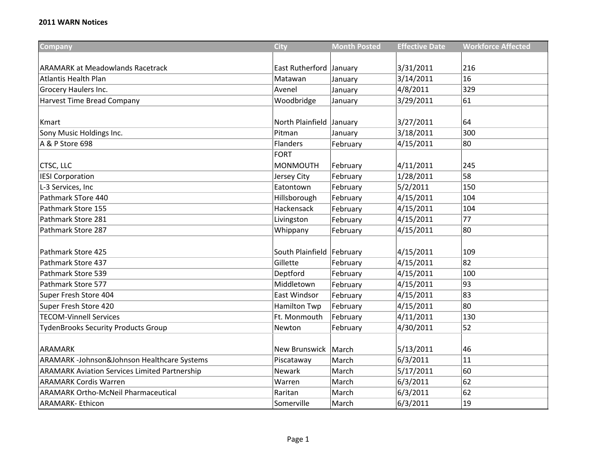| Company                                              | <b>City</b>                 | <b>Month Posted</b> | <b>Effective Date</b> | <b>Workforce Affected</b> |
|------------------------------------------------------|-----------------------------|---------------------|-----------------------|---------------------------|
|                                                      |                             |                     |                       |                           |
| <b>ARAMARK at Meadowlands Racetrack</b>              | East Rutherford January     |                     | 3/31/2011             | 216                       |
| <b>Atlantis Health Plan</b>                          | Matawan                     | January             | 3/14/2011             | 16                        |
| Grocery Haulers Inc.                                 | Avenel                      | January             | 4/8/2011              | 329                       |
| <b>Harvest Time Bread Company</b>                    | Woodbridge                  | January             | 3/29/2011             | 61                        |
|                                                      |                             |                     |                       |                           |
| <b>Kmart</b>                                         | North Plainfield January    |                     | 3/27/2011             | 64                        |
| Sony Music Holdings Inc.                             | Pitman                      | January             | 3/18/2011             | 300                       |
| A & P Store 698                                      | <b>Flanders</b>             | February            | 4/15/2011             | 80                        |
|                                                      | <b>FORT</b>                 |                     |                       |                           |
| CTSC, LLC                                            | <b>MONMOUTH</b>             | February            | 4/11/2011             | 245                       |
| <b>IESI Corporation</b>                              | Jersey City                 | February            | 1/28/2011             | 58                        |
| L-3 Services, Inc                                    | Eatontown                   | February            | 5/2/2011              | 150                       |
| Pathmark STore 440                                   | Hillsborough                | February            | 4/15/2011             | 104                       |
| Pathmark Store 155                                   | Hackensack                  | February            | 4/15/2011             | 104                       |
| Pathmark Store 281                                   | Livingston                  | February            | 4/15/2011             | 77                        |
| Pathmark Store 287                                   | Whippany                    | February            | 4/15/2011             | 80                        |
|                                                      |                             |                     |                       |                           |
| Pathmark Store 425                                   | South Plainfield   February |                     | 4/15/2011             | 109                       |
| Pathmark Store 437                                   | Gillette                    | February            | 4/15/2011             | 82                        |
| Pathmark Store 539                                   | Deptford                    | February            | 4/15/2011             | 100                       |
| Pathmark Store 577                                   | Middletown                  | February            | 4/15/2011             | 93                        |
| Super Fresh Store 404                                | East Windsor                | February            | 4/15/2011             | 83                        |
| Super Fresh Store 420                                | <b>Hamilton Twp</b>         | February            | 4/15/2011             | 80                        |
| <b>TECOM-Vinnell Services</b>                        | Ft. Monmouth                | February            | 4/11/2011             | 130                       |
| <b>TydenBrooks Security Products Group</b>           | Newton                      | February            | 4/30/2011             | 52                        |
|                                                      |                             |                     |                       |                           |
| <b>ARAMARK</b>                                       | New Brunswick   March       |                     | 5/13/2011             | 46                        |
| ARAMARK -Johnson&Johnson Healthcare Systems          | Piscataway                  | March               | 6/3/2011              | 11                        |
| <b>ARAMARK Aviation Services Limited Partnership</b> | <b>Newark</b>               | March               | 5/17/2011             | 60                        |
| <b>ARAMARK Cordis Warren</b>                         | Warren                      | March               | 6/3/2011              | 62                        |
| <b>ARAMARK Ortho-McNeil Pharmaceutical</b>           | Raritan                     | March               | 6/3/2011              | 62                        |
| <b>ARAMARK- Ethicon</b>                              | Somerville                  | March               | 6/3/2011              | 19                        |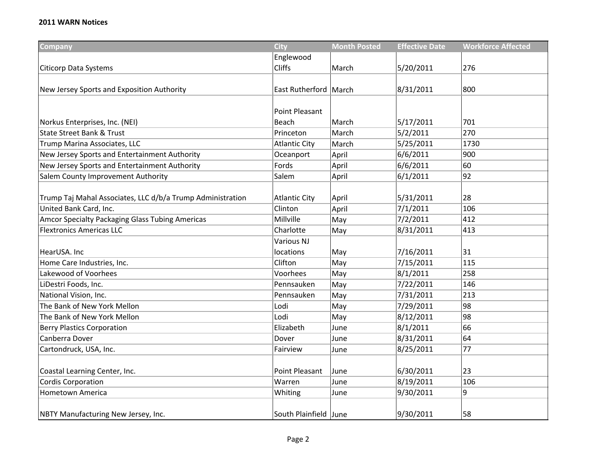| Company                                                    | <b>City</b>             | <b>Month Posted</b> | <b>Effective Date</b> | <b>Workforce Affected</b> |
|------------------------------------------------------------|-------------------------|---------------------|-----------------------|---------------------------|
|                                                            | Englewood               |                     |                       |                           |
| <b>Citicorp Data Systems</b>                               | <b>Cliffs</b>           | March               | 5/20/2011             | 276                       |
|                                                            |                         |                     |                       |                           |
| New Jersey Sports and Exposition Authority                 | East Rutherford   March |                     | 8/31/2011             | 800                       |
|                                                            |                         |                     |                       |                           |
|                                                            | <b>Point Pleasant</b>   |                     |                       |                           |
| Norkus Enterprises, Inc. (NEI)                             | Beach                   | March               | 5/17/2011             | 701                       |
| <b>State Street Bank &amp; Trust</b>                       | Princeton               | March               | 5/2/2011              | 270                       |
| Trump Marina Associates, LLC                               | <b>Atlantic City</b>    | March               | 5/25/2011             | 1730                      |
| New Jersey Sports and Entertainment Authority              | Oceanport               | April               | 6/6/2011              | 900                       |
| New Jersey Sports and Entertainment Authority              | Fords                   | April               | 6/6/2011              | 60                        |
| Salem County Improvement Authority                         | Salem                   | April               | 6/1/2011              | 92                        |
|                                                            |                         |                     |                       |                           |
| Trump Taj Mahal Associates, LLC d/b/a Trump Administration | <b>Atlantic City</b>    | April               | 5/31/2011             | 28                        |
| United Bank Card, Inc.                                     | Clinton                 | April               | 7/1/2011              | 106                       |
| Amcor Specialty Packaging Glass Tubing Americas            | Millville               | May                 | 7/2/2011              | 412                       |
| <b>Flextronics Americas LLC</b>                            | Charlotte               | May                 | 8/31/2011             | 413                       |
|                                                            | Various NJ              |                     |                       |                           |
| HearUSA. Inc                                               | locations               | May                 | 7/16/2011             | 31                        |
| Home Care Industries, Inc.                                 | Clifton                 | May                 | 7/15/2011             | 115                       |
| Lakewood of Voorhees                                       | Voorhees                | May                 | 8/1/2011              | 258                       |
| LiDestri Foods, Inc.                                       | Pennsauken              | May                 | 7/22/2011             | 146                       |
| National Vision, Inc.                                      | Pennsauken              | May                 | 7/31/2011             | 213                       |
| The Bank of New York Mellon                                | Lodi                    | May                 | 7/29/2011             | 98                        |
| The Bank of New York Mellon                                | Lodi                    | May                 | 8/12/2011             | 98                        |
| <b>Berry Plastics Corporation</b>                          | Elizabeth               | June                | 8/1/2011              | 66                        |
| Canberra Dover                                             | Dover                   | June                | 8/31/2011             | 64                        |
| Cartondruck, USA, Inc.                                     | Fairview                | June                | 8/25/2011             | 77                        |
|                                                            |                         |                     |                       |                           |
| Coastal Learning Center, Inc.                              | <b>Point Pleasant</b>   | June                | 6/30/2011             | 23                        |
| <b>Cordis Corporation</b>                                  | Warren                  | June                | 8/19/2011             | 106                       |
| Hometown America                                           | Whiting                 | June                | 9/30/2011             | 9                         |
|                                                            |                         |                     |                       |                           |
| NBTY Manufacturing New Jersey, Inc.                        | South Plainfield June   |                     | 9/30/2011             | 58                        |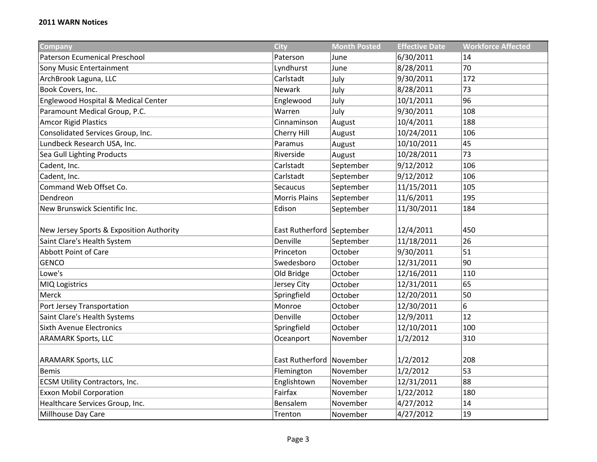| Company                                  | <b>City</b>               | <b>Month Posted</b> | <b>Effective Date</b> | <b>Workforce Affected</b> |
|------------------------------------------|---------------------------|---------------------|-----------------------|---------------------------|
| <b>Paterson Ecumenical Preschool</b>     | Paterson                  | June                | 6/30/2011             | 14                        |
| Sony Music Entertainment                 | Lyndhurst                 | June                | 8/28/2011             | 70                        |
| ArchBrook Laguna, LLC                    | Carlstadt                 | July                | 9/30/2011             | 172                       |
| Book Covers, Inc.                        | Newark                    | July                | 8/28/2011             | 73                        |
| Englewood Hospital & Medical Center      | Englewood                 | July                | 10/1/2011             | 96                        |
| Paramount Medical Group, P.C.            | Warren                    | July                | 9/30/2011             | 108                       |
| <b>Amcor Rigid Plastics</b>              | Cinnaminson               | August              | 10/4/2011             | 188                       |
| Consolidated Services Group, Inc.        | Cherry Hill               | August              | 10/24/2011            | 106                       |
| Lundbeck Research USA, Inc.              | Paramus                   | August              | 10/10/2011            | 45                        |
| Sea Gull Lighting Products               | Riverside                 | August              | 10/28/2011            | 73                        |
| Cadent, Inc.                             | Carlstadt                 | September           | 9/12/2012             | 106                       |
| Cadent, Inc.                             | Carlstadt                 | September           | 9/12/2012             | 106                       |
| Command Web Offset Co.                   | Secaucus                  | September           | 11/15/2011            | 105                       |
| Dendreon                                 | <b>Morris Plains</b>      | September           | 11/6/2011             | 195                       |
| New Brunswick Scientific Inc.            | Edison                    | September           | 11/30/2011            | 184                       |
|                                          |                           |                     |                       |                           |
| New Jersey Sports & Exposition Authority | East Rutherford September |                     | 12/4/2011             | 450                       |
| Saint Clare's Health System              | Denville                  | September           | 11/18/2011            | 26                        |
| <b>Abbott Point of Care</b>              | Princeton                 | October             | 9/30/2011             | 51                        |
| <b>GENCO</b>                             | Swedesboro                | October             | 12/31/2011            | 90                        |
| Lowe's                                   | Old Bridge                | October             | 12/16/2011            | 110                       |
| MIQ Logistrics                           | Jersey City               | October             | 12/31/2011            | 65                        |
| Merck                                    | Springfield               | October             | 12/20/2011            | 50                        |
| Port Jersey Transportation               | Monroe                    | October             | 12/30/2011            | 6                         |
| Saint Clare's Health Systems             | Denville                  | October             | 12/9/2011             | 12                        |
| Sixth Avenue Electronics                 | Springfield               | October             | 12/10/2011            | 100                       |
| <b>ARAMARK Sports, LLC</b>               | Oceanport                 | November            | 1/2/2012              | 310                       |
|                                          |                           |                     |                       |                           |
| <b>ARAMARK Sports, LLC</b>               | East Rutherford November  |                     | 1/2/2012              | 208                       |
| <b>Bemis</b>                             | Flemington                | November            | 1/2/2012              | 53                        |
| <b>ECSM Utility Contractors, Inc.</b>    | Englishtown               | November            | 12/31/2011            | 88                        |
| <b>Exxon Mobil Corporation</b>           | Fairfax                   | November            | 1/22/2012             | 180                       |
| Healthcare Services Group, Inc.          | Bensalem                  | November            | 4/27/2012             | 14                        |
| Millhouse Day Care                       | Trenton                   | November            | 4/27/2012             | 19                        |